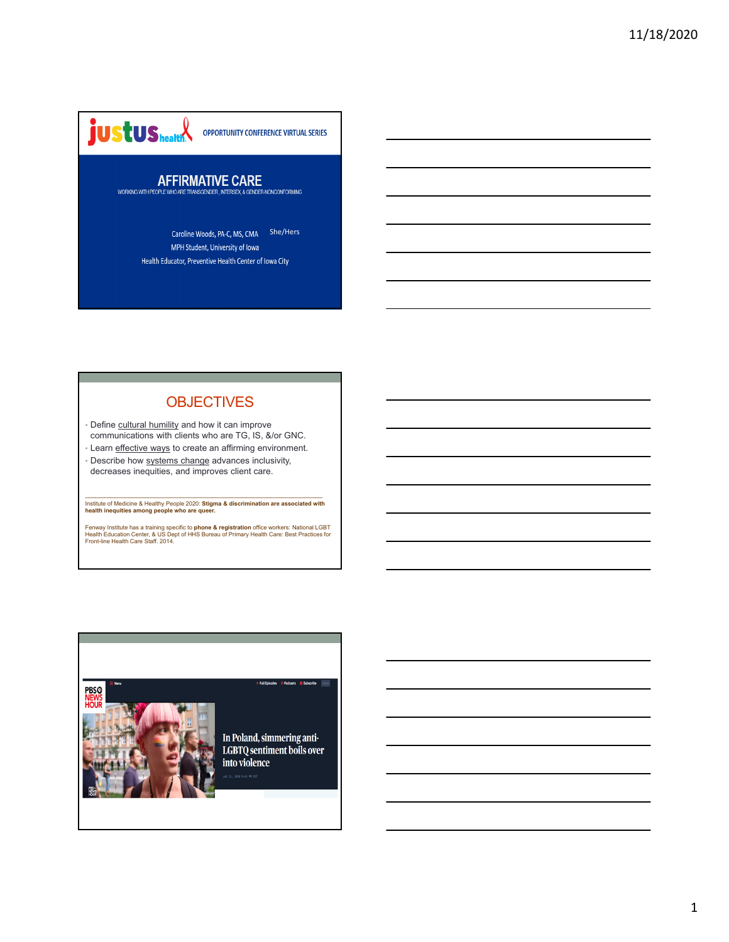# **justus** health. **OPPORTUNITY CONFERENCE VIRTUAL SERIES**

#### **AFFIRMATIVE CARE** WORKING WITH PEOPLE WHO ARE TRANSGENDER, INTERSEX, & GENDER-NONCONFORMING

Caroline Woods, PA-C, MS, CMA She/Hers MPH Student, University of Iowa Health Educator, Preventive Health Center of Iowa City

## **OBJECTIVES**

- Define cultural humility and how it can improve communications with clients who are TG, IS, &/or GNC.
- Learn effective ways to create an affirming environment. • Describe how systems change advances inclusivity,
- decreases inequities, and improves client care.

Institute of Medicine & Healthy People 2020: **Stigma & discrimination are associated with**<br>**health inequities among people who are queer.** 

Fenway Institute has a training specific to **phone & registration** office workers: National LGBT<br>Health Education Center, & US Dept of HHS Bureau of Primary Health Care: Best Practices for<br>Front-line Health Care Staff. 201

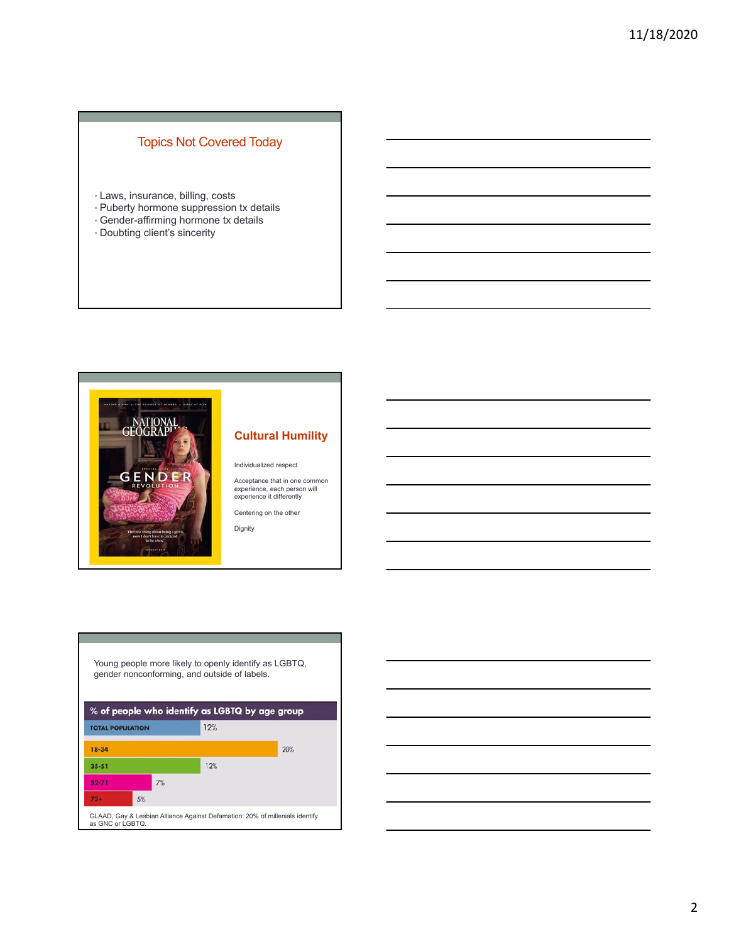# Topics Not Covered Today

- Laws, insurance, billing, costs
- Puberty hormone suppression tx details
- Gender-affirming hormone tx details
- Doubting client's sincerity



## **Cultural Humility**

Individualized respect

Acceptance that in one common experience, each person will experience it differently

Centering on the other

Dignity



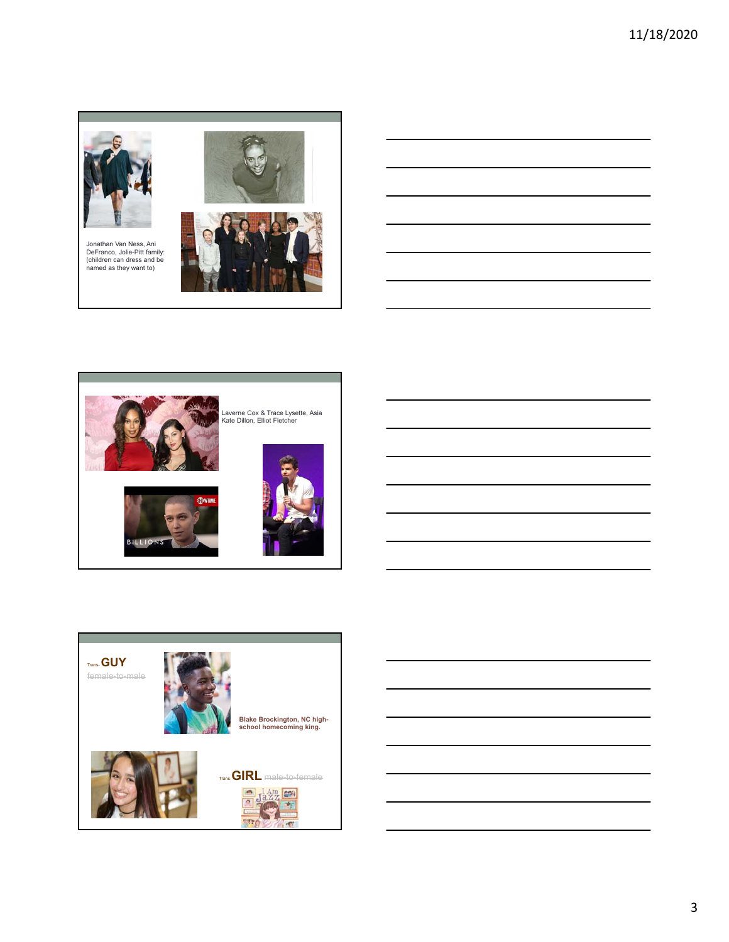



**BILLIO** 





3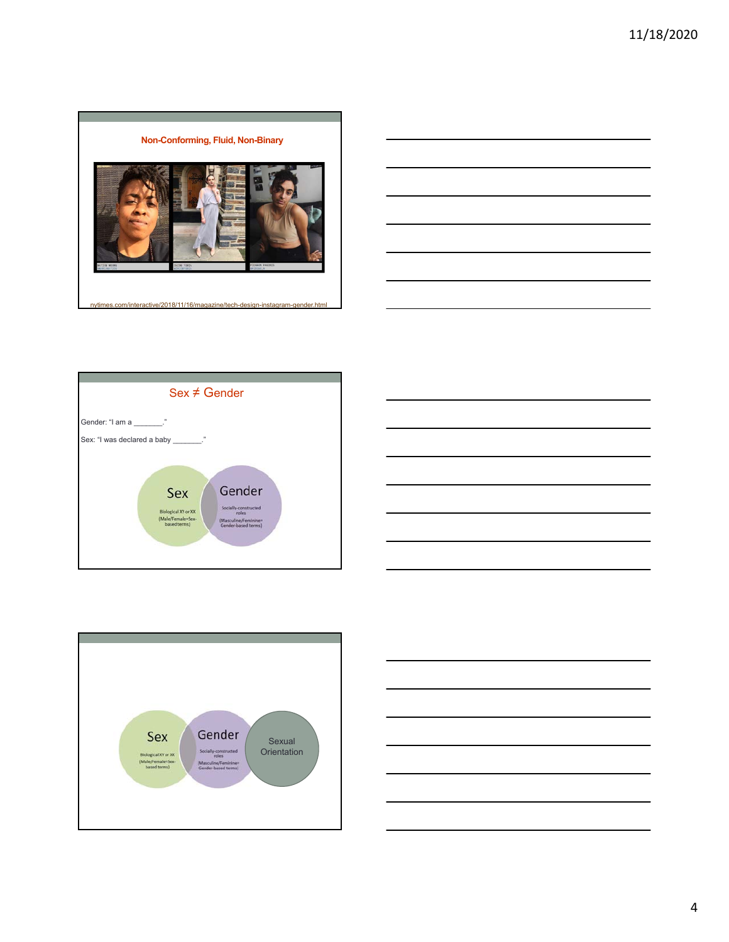









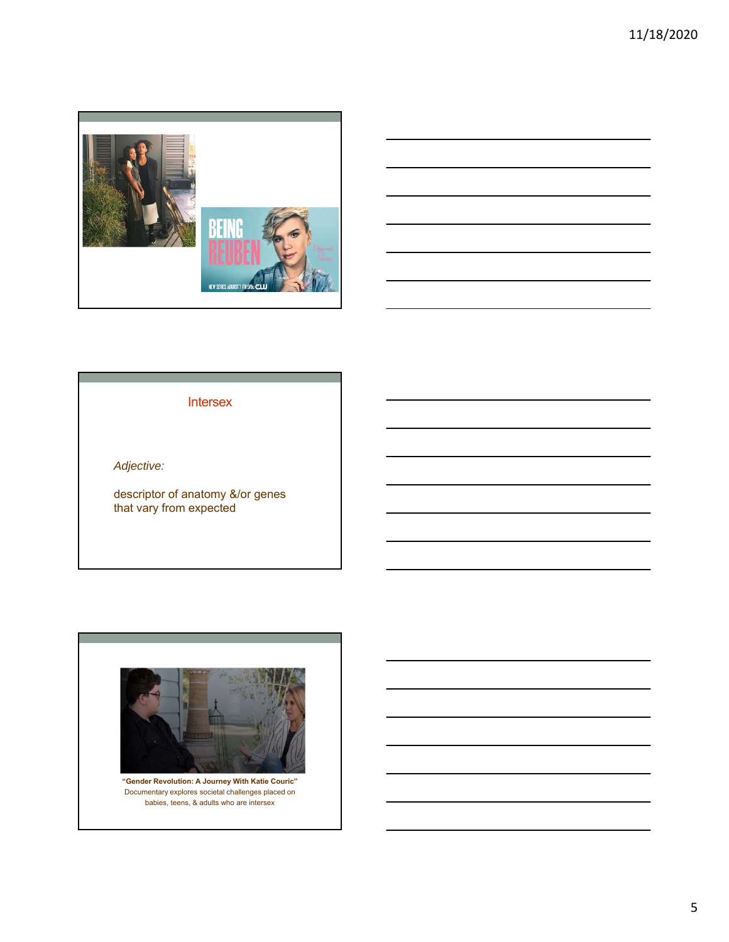



Intersex

*Adjective:* 

descriptor of anatomy &/or genes that vary from expected



**"Gender Revolution: A Journey With Katie Couric"**  Documentary explores societal challenges placed on babies, teens, & adults who are intersex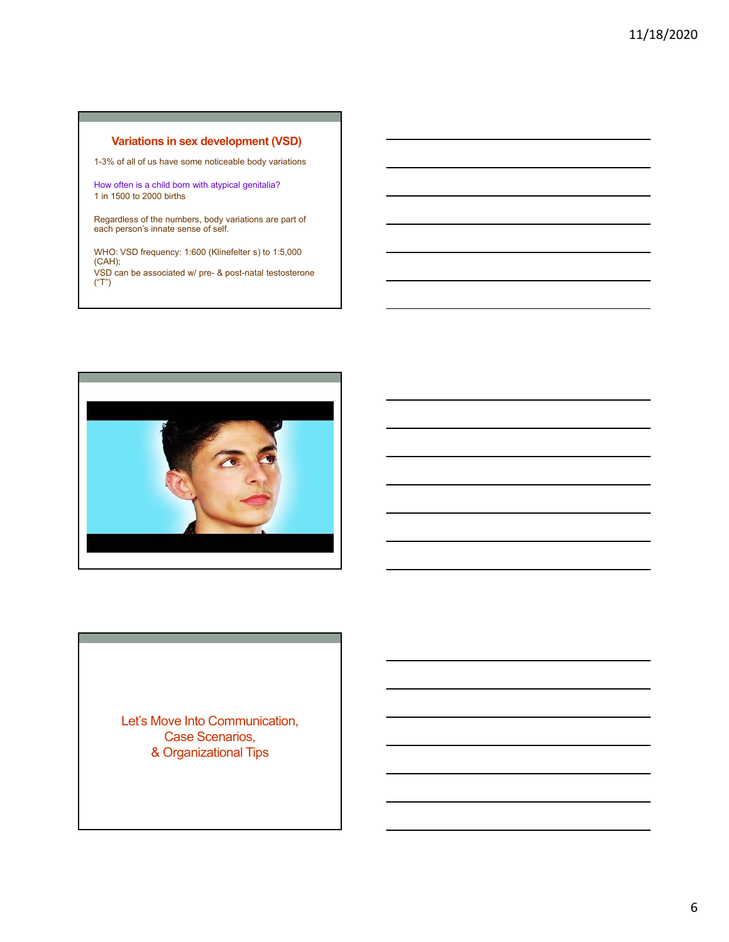### **Variations in sex development (VSD)**

1-3% of all of us have some noticeable body variations

How often is a child born with atypical genitalia? 1 in 1500 to 2000 births

Regardless of the numbers, body variations are part of each person's innate sense of self.

WHO: VSD frequency: 1:600 (Klinefelter s) to 1:5,000 (CAH); VSD can be associated w/ pre- & post-natal testosterone ("T")



Let's Move Into Communication, Case Scenarios, & Organizational Tips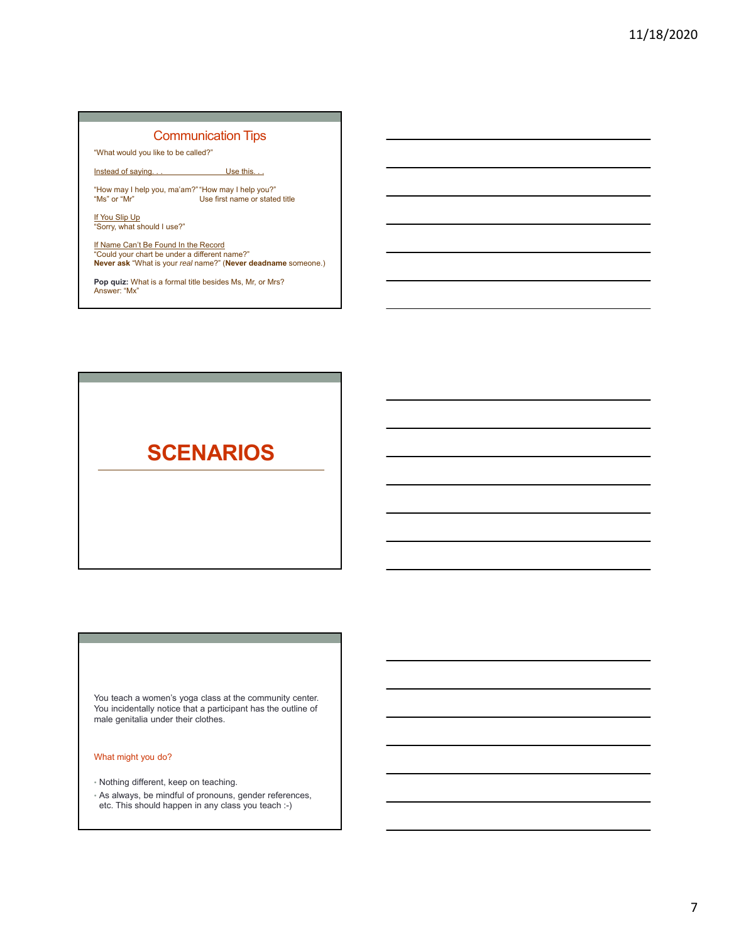### Communication Tips

"What would you like to be called?"

"How may I help you, ma'am?" "How may I help you?" "Ms" or "Mr" Use first name or stated title

Instead of saying. . . . . . . . . . . Use this. . .

<u>If You Slip Up</u><br>"Sorry, what should I use?"

I<mark>f Name Can't Be Found In the Record</mark><br>"Could your chart be under a different name?" **Never ask** "What is your *real* name?" (**Never deadname** someone.)

**Pop quiz:** What is a formal title besides Ms, Mr, or Mrs? Answer: "Mx"

**SCENARIOS**

You teach a women's yoga class at the community center. You incidentally notice that a participant has the outline of male genitalia under their clothes.

What might you do?

- Nothing different, keep on teaching.
- As always, be mindful of pronouns, gender references, etc. This should happen in any class you teach :-)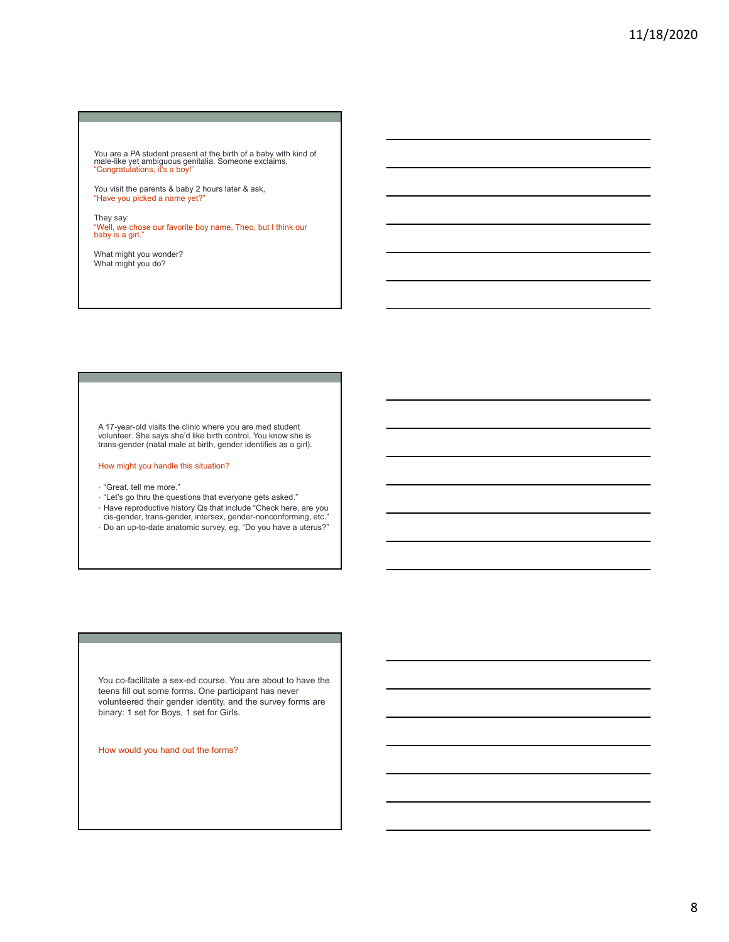You are a PA student present at the birth of a baby with kind of<br>male-like yet ambiguous genitalia. Someone exclaims,<br>"Congratulations, it's a boy!"

You visit the parents & baby 2 hours later & ask, "Have you picked a name yet?"

They say: "Well, we chose our favorite boy name, Theo, but I think our baby is a girl."

What might you wonder? What might you do?

A 17-year-old visits the clinic where you are med student volunteer. She says she'd like birth control. You know she is trans-gender (natal male at birth, gender identifies as a girl).

#### How might you handle this situation?

• "Great, tell me more."

- "Let's go thru the questions that everyone gets asked."
- Have reproductive history Qs that include "Check here, are you
- cis-gender, trans-gender, intersex, gender-nonconforming, etc." • Do an up-to-date anatomic survey, eg, "Do you have a uterus?"

You co-facilitate a sex-ed course. You are about to have the teens fill out some forms. One participant has never volunteered their gender identity, and the survey forms are binary: 1 set for Boys, 1 set for Girls.

How would you hand out the forms?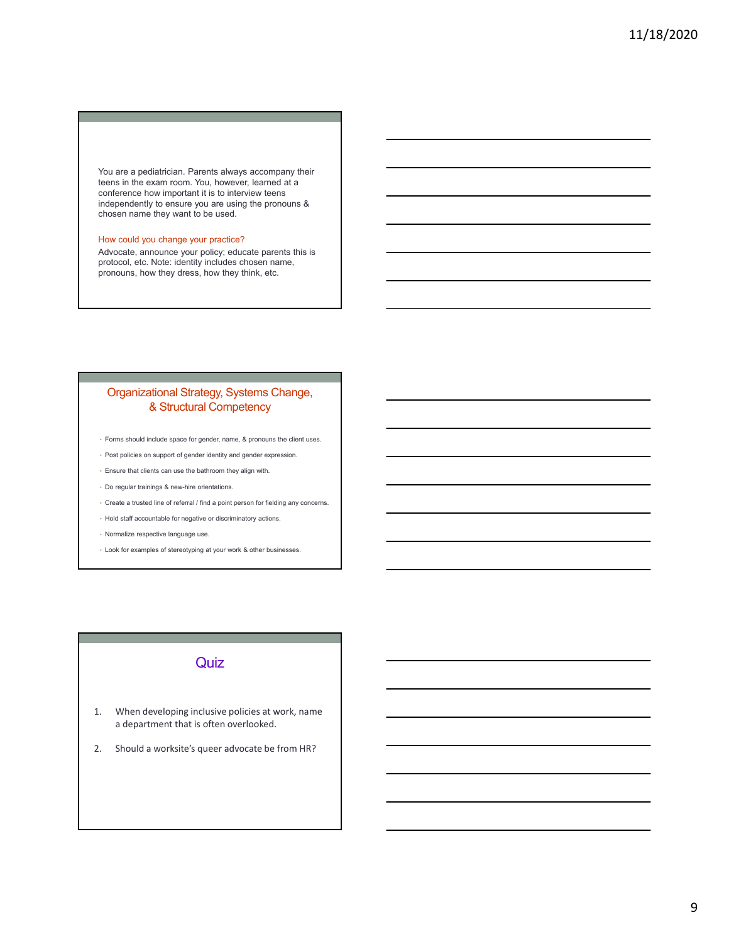You are a pediatrician. Parents always accompany their teens in the exam room. You, however, learned at a conference how important it is to interview teens independently to ensure you are using the pronouns & chosen name they want to be used.

#### How could you change your practice?

Advocate, announce your policy; educate parents this is protocol, etc. Note: identity includes chosen name, pronouns, how they dress, how they think, etc.

#### Organizational Strategy, Systems Change, & Structural Competency

- Forms should include space for gender, name, & pronouns the client uses.
- Post policies on support of gender identity and gender expression.
- Ensure that clients can use the bathroom they align with.
- Do regular trainings & new-hire orientations.
- Create a trusted line of referral / find a point person for fielding any concerns.
- Hold staff accountable for negative or discriminatory actions.
- Normalize respective language use.
- Look for examples of stereotyping at your work & other businesses.

## **Quiz**

- 1. When developing inclusive policies at work, name a department that is often overlooked.
- 2. Should a worksite's queer advocate be from HR?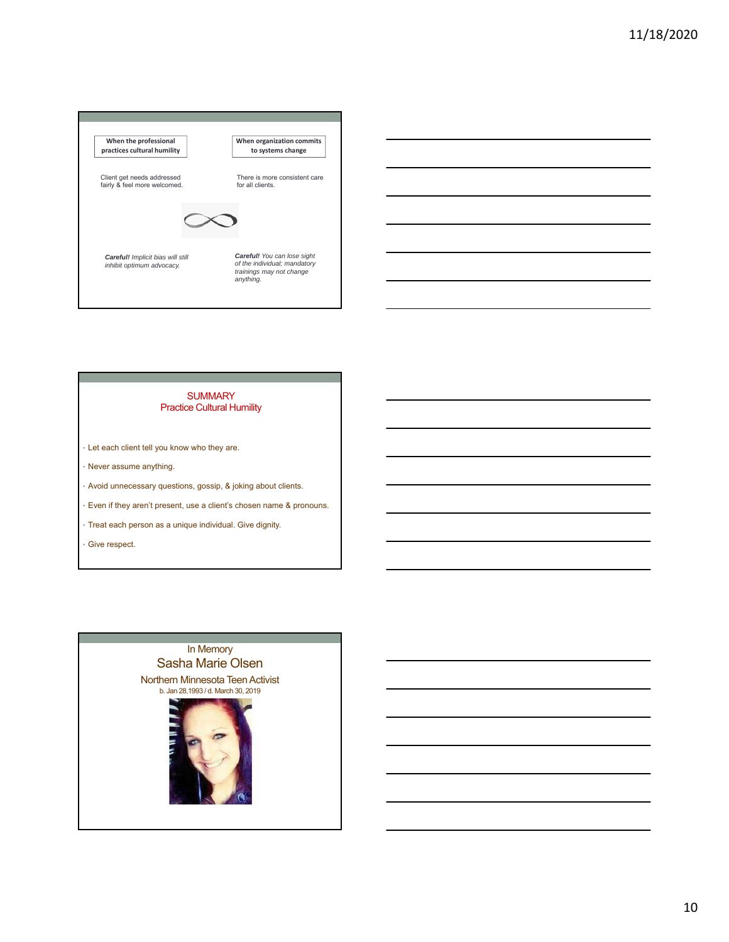

#### **SUMMARY** Practice Cultural Humility

- Let each client tell you know who they are.
- Never assume anything.
- Avoid unnecessary questions, gossip, & joking about clients.
- Even if they aren't present, use a client's chosen name & pronouns.
- Treat each person as a unique individual. Give dignity.
- Give respect.